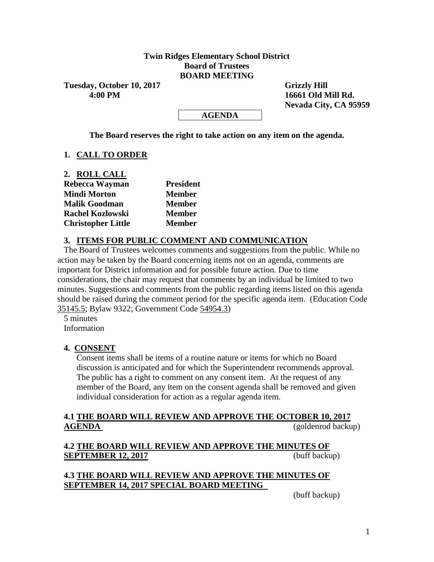### **Twin Ridges Elementary School District Board of Trustees BOARD MEETING**

Tuesday, October 10, 2017 Grizzly Hill  **4:00 PM 16661 Old Mill Rd.**

 **Nevada City, CA 95959**

#### **AGENDA**

**The Board reserves the right to take action on any item on the agenda.**

### **1. CALL TO ORDER**

**2. ROLL CALL**

| Rebecca Wayman            | <b>President</b> |  |  |  |
|---------------------------|------------------|--|--|--|
| <b>Mindi Morton</b>       | <b>Member</b>    |  |  |  |
| <b>Malik Goodman</b>      | <b>Member</b>    |  |  |  |
| <b>Rachel Kozlowski</b>   | <b>Member</b>    |  |  |  |
| <b>Christopher Little</b> | <b>Member</b>    |  |  |  |

#### **3. ITEMS FOR PUBLIC COMMENT AND COMMUNICATION**

The Board of Trustees welcomes comments and suggestions from the public. While no action may be taken by the Board concerning items not on an agenda, comments are important for District information and for possible future action. Due to time considerations, the chair may request that comments by an individual be limited to two minutes. Suggestions and comments from the public regarding items listed on this agenda should be raised during the comment period for the specific agenda item. (Education Code 35145.5; Bylaw 9322; Government Code 54954.3)

5 minutes Information

#### **4. CONSENT**

Consent items shall be items of a routine nature or items for which no Board discussion is anticipated and for which the Superintendent recommends approval. The public has a right to comment on any consent item. At the request of any member of the Board, any item on the consent agenda shall be removed and given individual consideration for action as a regular agenda item.

#### **4.1 THE BOARD WILL REVIEW AND APPROVE THE OCTOBER 10, 2017 AGENDA** (goldenrod backup)

# **4.2 THE BOARD WILL REVIEW AND APPROVE THE MINUTES OF SEPTEMBER 12, 2017** (buff backup)

#### **4.3 THE BOARD WILL REVIEW AND APPROVE THE MINUTES OF SEPTEMBER 14, 2017 SPECIAL BOARD MEETING**

(buff backup)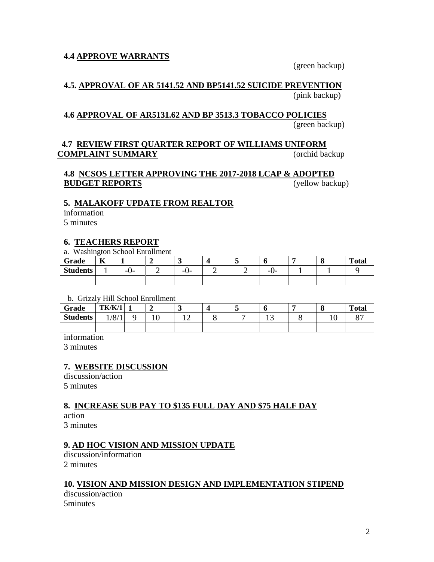### **4.4 APPROVE WARRANTS**

(green backup)

#### **4.5. APPROVAL OF AR 5141.52 AND BP5141.52 SUICIDE PREVENTION** (pink backup)

#### **4.6 APPROVAL OF AR5131.62 AND BP 3513.3 TOBACCO POLICIES**

(green backup)

### **4.7 REVIEW FIRST QUARTER REPORT OF WILLIAMS UNIFORM COMPLAINT SUMMARY** (orchid backup

#### **4.8 NCSOS LETTER APPROVING THE 2017-2018 LCAP & ADOPTED BUDGET REPORTS** (yellow backup)

#### **5. MALAKOFF UPDATE FROM REALTOR**

information

5 minutes

#### **6. TEACHERS REPORT**

#### a. Washington School Enrollment

| Grade           | $\mathbf{r}$<br>v |     |     |   | O        | O | <b>Total</b> |
|-----------------|-------------------|-----|-----|---|----------|---|--------------|
| <b>Students</b> |                   | -v- | -v- | ∽ | -<br>. . |   |              |
|                 |                   |     |     |   |          |   |              |

b. Grizzly Hill School Enrollment

| Grade           | <b>TK/K/1</b> |                | ັ | ຼ | υ       | O   | <b>Total</b> |
|-----------------|---------------|----------------|---|---|---------|-----|--------------|
| <b>Students</b> | 1/8/1         | $\overline{1}$ | ∸ |   | -<br>⊥J | 1 V | n-           |
|                 |               |                |   |   |         |     |              |

information

3 minutes

#### **7. WEBSITE DISCUSSION**

discussion/action 5 minutes

#### **8. INCREASE SUB PAY TO \$135 FULL DAY AND \$75 HALF DAY** action

3 minutes

#### **9. AD HOC VISION AND MISSION UPDATE**

discussion/information 2 minutes

#### **10. VISION AND MISSION DESIGN AND IMPLEMENTATION STIPEND**

discussion/action 5minutes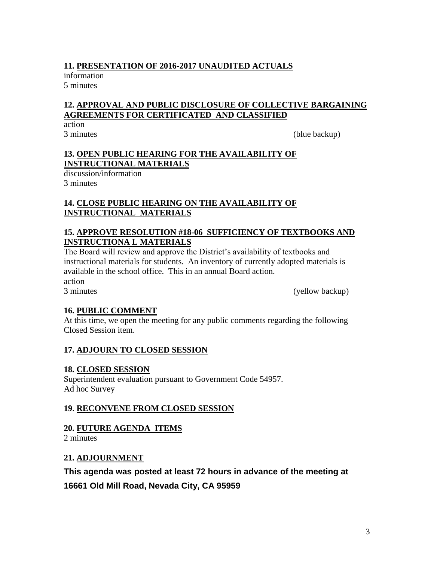# **11. PRESENTATION OF 2016-2017 UNAUDITED ACTUALS**

information 5 minutes

# **12. APPROVAL AND PUBLIC DISCLOSURE OF COLLECTIVE BARGAINING AGREEMENTS FOR CERTIFICATED AND CLASSIFIED**

action

3 minutes (blue backup)

# **13. OPEN PUBLIC HEARING FOR THE AVAILABILITY OF INSTRUCTIONAL MATERIALS**

discussion/information 3 minutes

# **14. CLOSE PUBLIC HEARING ON THE AVAILABILITY OF INSTRUCTIONAL MATERIALS**

# **15. APPROVE RESOLUTION #18-06 SUFFICIENCY OF TEXTBOOKS AND INSTRUCTIONA L MATERIALS**

The Board will review and approve the District's availability of textbooks and instructional materials for students. An inventory of currently adopted materials is available in the school office. This in an annual Board action.

action

3 minutes (yellow backup)

# **16. PUBLIC COMMENT**

At this time, we open the meeting for any public comments regarding the following Closed Session item.

# **17. ADJOURN TO CLOSED SESSION**

# **18. CLOSED SESSION**

Superintendent evaluation pursuant to Government Code 54957. Ad hoc Survey

# **19**. **RECONVENE FROM CLOSED SESSION**

# **20. FUTURE AGENDA ITEMS**

2 minutes

# **21. ADJOURNMENT**

# **This agenda was posted at least 72 hours in advance of the meeting at**

**16661 Old Mill Road, Nevada City, CA 95959**